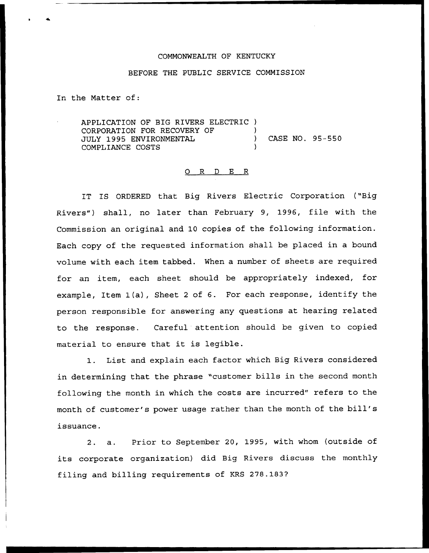## COMMONWEALTH OF KENTUCKY

## BEFORE THE PUBLIC SERVICE COMMISSION

In the Matter of:

APPLICATION OF BIG RIVERS ELECTRIC ) CORPORATION FOR RECOVERY OF ) JULY 1995 ENVIRONMENTAL (2008) CASE NO. 95-550 COMPLIANCE COSTS )

## 0 R <sup>D</sup> E R

IT IS ORDERED that Big Rivers Electric Corporation ("Big Rivers") shall, no later than February 9, 1996, file with the Commission an original and 10 copies of the following information. Each copy of the requested information shall be placed in a bound volume with each item tabbed. When a number of sheets are required for an item, each sheet should be appropriately indexed, for example, Item 1(a), Sheet <sup>2</sup> of 6. For each response, identify the person responsible for answering any questions at hearing related to the response. Careful attention should be given to copied material to ensure that it is legible.

1. List and explain each factor which Big Rivers considered in determining that the phrase "customer bills in the second month following the month in which the costs are incurred" refers to the month of customer's power usage rather than the month of the bill' issuance.

2. a. Prior to September 20, 1995, with whom (outside of its corporate organization) did Big Rivers discuss the monthly filing and billing requirements of KRS 278.183?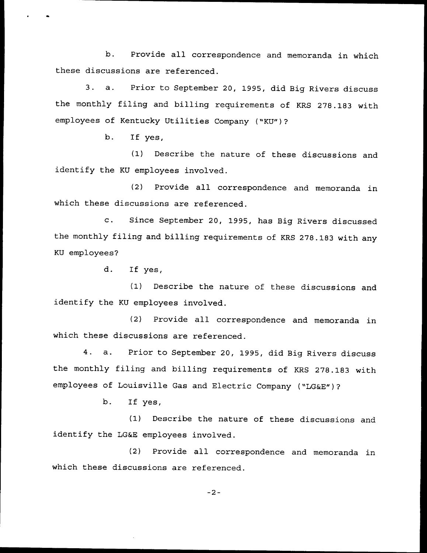b. Provide all correspondence and memoranda in which these discussions are referenced.

3. a. Prior to September 20, 1995, did Big Rivers discuss the monthly filing and billing requirements of KRS 278.183 with employees of Kentucky Utilities Company ("KU")?

b. If yes,

(1) Describe the nature of these discussions and identify the KU employees involved.

(2) Provide all correspondence and memoranda in which these discussions are referenced.

c. Since September 20, 1995, has Big Rivers discussed the monthly filing and billing requirements of KRS 278.183 with any KU employees?

d. If yes,

(1) Describe the nature of these discussions and identify the KU employees involved.

(2) Provide all correspondence and memoranda in which these discussions are referenced.

4. a. Prior to September 20, 1995, did Big Rivers discuss the monthly filing and billing requirements of KRS 278.183 with employees of Louisville Gas and Electric Company ("LG&E")?

b. If yes,

(1) Describe the nature of these discussions and identify the LG&E employees involved.

(2) Provide all correspondence and memoranda in which these discussions are referenced.

 $-2-$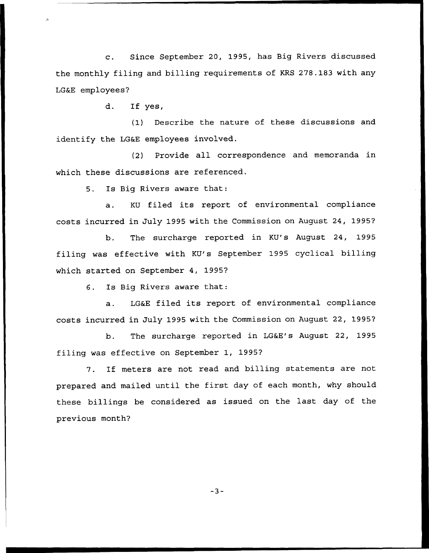c. Since September 20, 1995, has Big Rivers discussed the monthly filing and billing requirements of KRS 278.183 with any LG&E employees?

d. If yes,

(1} Describe the nature of these discussions and identify the LG&E employees involved.

(2) Provide all correspondence and memoranda in which these discussions are referenced.

5. Is Big Rivers aware that:

a. KU filed its report of environmental compliance costs incurred in July 1995 with the Commission on August 24, 1995?

b. The surcharge reported in KU's August 24, 1995 filing was effective with KV's September 1995 cyclical billing which started on September 4, 1995?

6. Is Big Rivers aware that:

a. LG&E filed its report of environmental compliance costs incurred in July 1995 with the Commission on August 22, 1995?

b. The surcharge reported in LG&E's August 22, 1995 filing was effective on September 1, 1995?

7. If meters are not read and billing statements are not prepared and mailed until the first day of each month, why should these billings be considered as issued on the last day of the previous month?

 $-3-$